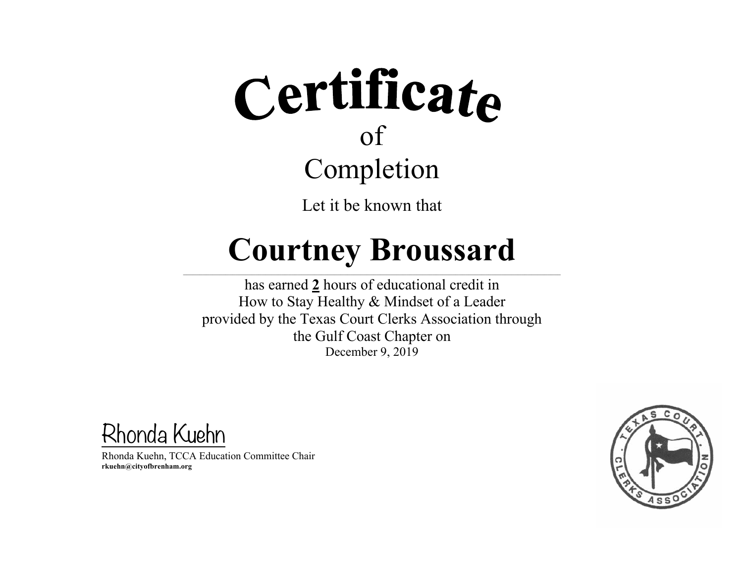Let it be known that

### **Courtney Broussard**

 $\mathcal{L} = \{ \mathcal{L} = \{ \mathcal{L} = \{ \mathcal{L} = \{ \mathcal{L} = \{ \mathcal{L} = \{ \mathcal{L} = \{ \mathcal{L} = \{ \mathcal{L} = \{ \mathcal{L} = \{ \mathcal{L} = \{ \mathcal{L} = \{ \mathcal{L} = \{ \mathcal{L} = \{ \mathcal{L} = \{ \mathcal{L} = \{ \mathcal{L} = \{ \mathcal{L} = \{ \mathcal{L} = \{ \mathcal{L} = \{ \mathcal{L} = \{ \mathcal{L} = \{ \mathcal{L} = \{ \mathcal{L} = \{ \mathcal{$ 

has earned **2** hours of educational credit in How to Stay Healthy & Mindset of a Leader provided by the Texas Court Clerks Association through the Gulf Coast Chapter on December 9, 2019

Rhonda Kuehn

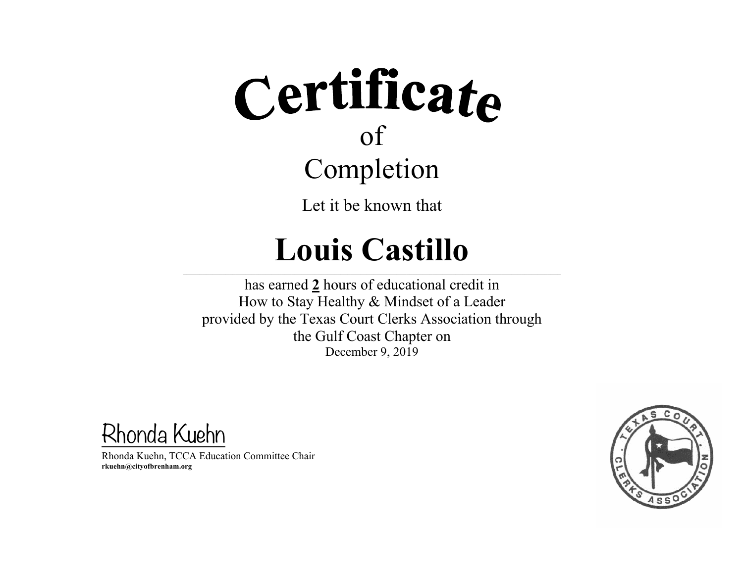Let it be known that

### **Louis Castillo**

 $\mathcal{L} = \{ \mathcal{L} = \{ \mathcal{L} = \{ \mathcal{L} = \{ \mathcal{L} = \{ \mathcal{L} = \{ \mathcal{L} = \{ \mathcal{L} = \{ \mathcal{L} = \{ \mathcal{L} = \{ \mathcal{L} = \{ \mathcal{L} = \{ \mathcal{L} = \{ \mathcal{L} = \{ \mathcal{L} = \{ \mathcal{L} = \{ \mathcal{L} = \{ \mathcal{L} = \{ \mathcal{L} = \{ \mathcal{L} = \{ \mathcal{L} = \{ \mathcal{L} = \{ \mathcal{L} = \{ \mathcal{L} = \{ \mathcal{$ 

has earned **2** hours of educational credit in How to Stay Healthy & Mindset of a Leader provided by the Texas Court Clerks Association through the Gulf Coast Chapter on December 9, 2019

Rhonda Kuehn

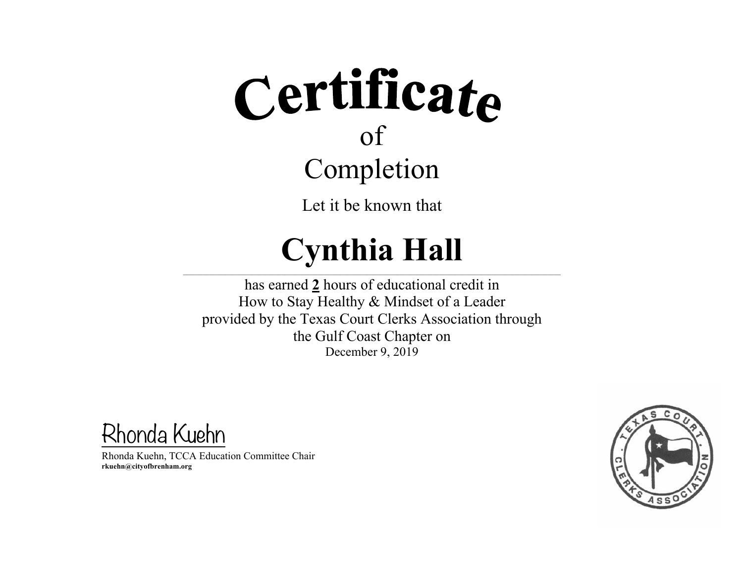Let it be known that

### **Cynthia Hall**

 $\mathcal{L} = \{ \mathcal{L} = \{ \mathcal{L} = \{ \mathcal{L} = \{ \mathcal{L} = \{ \mathcal{L} = \{ \mathcal{L} = \{ \mathcal{L} = \{ \mathcal{L} = \{ \mathcal{L} = \{ \mathcal{L} = \{ \mathcal{L} = \{ \mathcal{L} = \{ \mathcal{L} = \{ \mathcal{L} = \{ \mathcal{L} = \{ \mathcal{L} = \{ \mathcal{L} = \{ \mathcal{L} = \{ \mathcal{L} = \{ \mathcal{L} = \{ \mathcal{L} = \{ \mathcal{L} = \{ \mathcal{L} = \{ \mathcal{$ 

has earned **2** hours of educational credit in How to Stay Healthy & Mindset of a Leader provided by the Texas Court Clerks Association through the Gulf Coast Chapter on December 9, 2019

Rhonda Kuehn

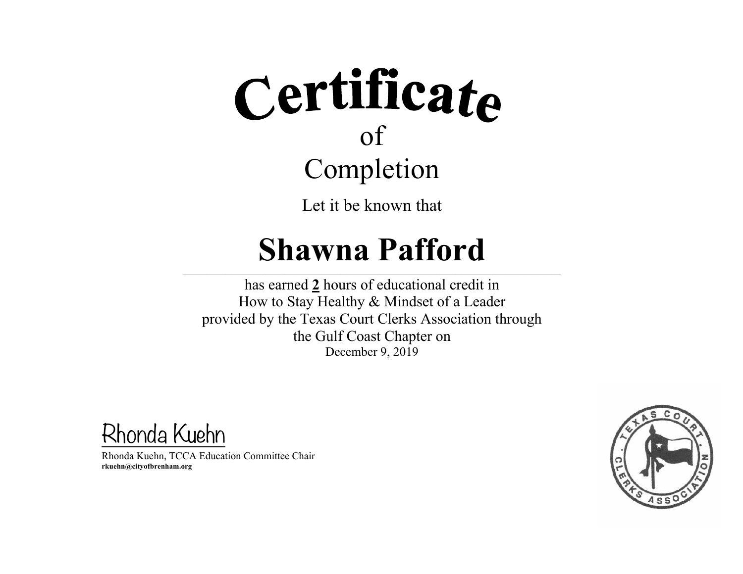Let it be known that

#### **Shawna Pafford**

 $\mathcal{L} = \{ \mathcal{L} = \{ \mathcal{L} = \{ \mathcal{L} = \{ \mathcal{L} = \{ \mathcal{L} = \{ \mathcal{L} = \{ \mathcal{L} = \{ \mathcal{L} = \{ \mathcal{L} = \{ \mathcal{L} = \{ \mathcal{L} = \{ \mathcal{L} = \{ \mathcal{L} = \{ \mathcal{L} = \{ \mathcal{L} = \{ \mathcal{L} = \{ \mathcal{L} = \{ \mathcal{L} = \{ \mathcal{L} = \{ \mathcal{L} = \{ \mathcal{L} = \{ \mathcal{L} = \{ \mathcal{L} = \{ \mathcal{$ 

has earned **2** hours of educational credit in How to Stay Healthy & Mindset of a Leader provided by the Texas Court Clerks Association through the Gulf Coast Chapter on December 9, 2019

Rhonda Kuehn

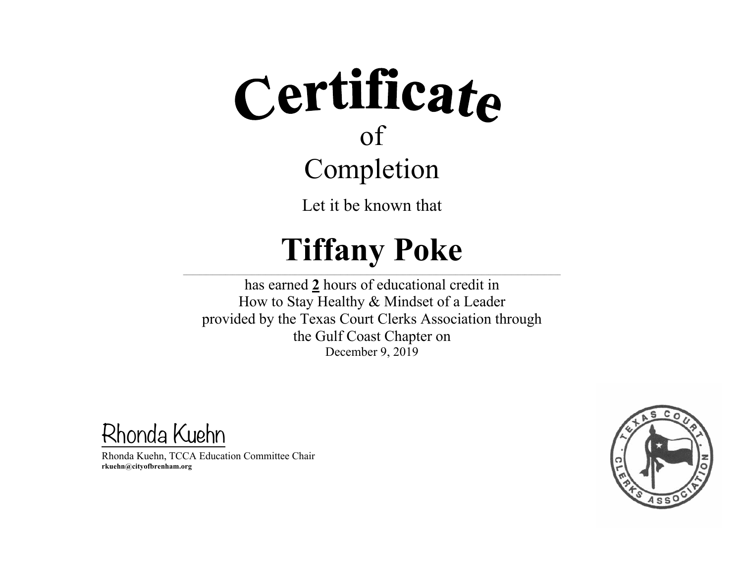Let it be known that

### **Tiffany Poke**

 $\mathcal{L} = \{ \mathcal{L} = \{ \mathcal{L} = \{ \mathcal{L} = \{ \mathcal{L} = \{ \mathcal{L} = \{ \mathcal{L} = \{ \mathcal{L} = \{ \mathcal{L} = \{ \mathcal{L} = \{ \mathcal{L} = \{ \mathcal{L} = \{ \mathcal{L} = \{ \mathcal{L} = \{ \mathcal{L} = \{ \mathcal{L} = \{ \mathcal{L} = \{ \mathcal{L} = \{ \mathcal{L} = \{ \mathcal{L} = \{ \mathcal{L} = \{ \mathcal{L} = \{ \mathcal{L} = \{ \mathcal{L} = \{ \mathcal{$ 

has earned **2** hours of educational credit in How to Stay Healthy & Mindset of a Leader provided by the Texas Court Clerks Association through the Gulf Coast Chapter on December 9, 2019

Rhonda Kuehn

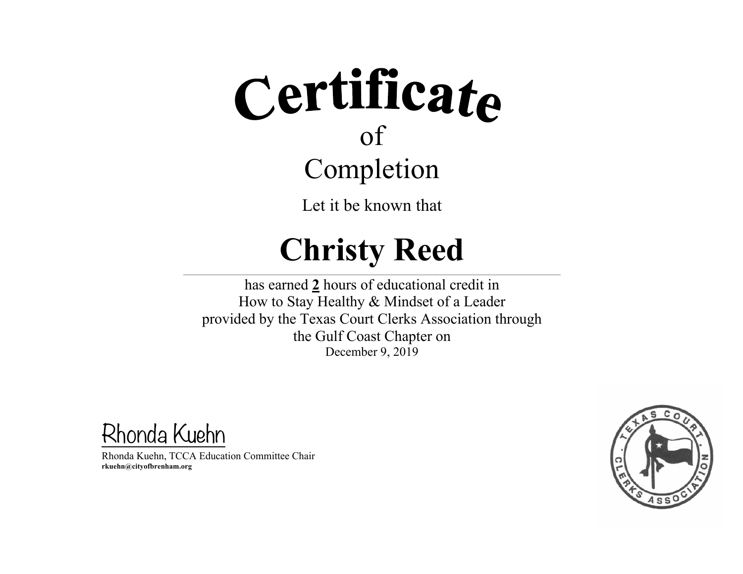Let it be known that

### **Christy Reed**

 $\mathcal{L} = \{ \mathcal{L} = \{ \mathcal{L} = \{ \mathcal{L} = \{ \mathcal{L} = \{ \mathcal{L} = \{ \mathcal{L} = \{ \mathcal{L} = \{ \mathcal{L} = \{ \mathcal{L} = \{ \mathcal{L} = \{ \mathcal{L} = \{ \mathcal{L} = \{ \mathcal{L} = \{ \mathcal{L} = \{ \mathcal{L} = \{ \mathcal{L} = \{ \mathcal{L} = \{ \mathcal{L} = \{ \mathcal{L} = \{ \mathcal{L} = \{ \mathcal{L} = \{ \mathcal{L} = \{ \mathcal{L} = \{ \mathcal{$ 

has earned **2** hours of educational credit in How to Stay Healthy & Mindset of a Leader provided by the Texas Court Clerks Association through the Gulf Coast Chapter on December 9, 2019

Rhonda Kuehn

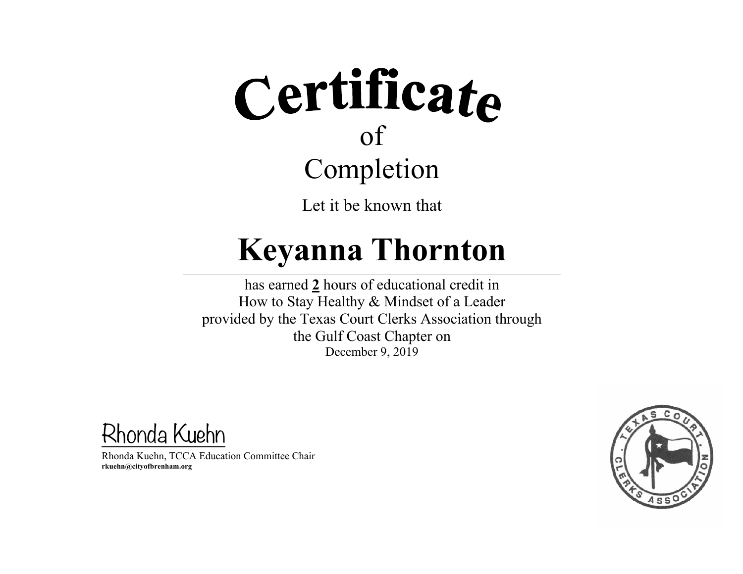Let it be known that

### **Keyanna Thornton**

 $\mathcal{L} = \{ \mathcal{L} = \{ \mathcal{L} = \{ \mathcal{L} = \{ \mathcal{L} = \{ \mathcal{L} = \{ \mathcal{L} = \{ \mathcal{L} = \{ \mathcal{L} = \{ \mathcal{L} = \{ \mathcal{L} = \{ \mathcal{L} = \{ \mathcal{L} = \{ \mathcal{L} = \{ \mathcal{L} = \{ \mathcal{L} = \{ \mathcal{L} = \{ \mathcal{L} = \{ \mathcal{L} = \{ \mathcal{L} = \{ \mathcal{L} = \{ \mathcal{L} = \{ \mathcal{L} = \{ \mathcal{L} = \{ \mathcal{$ 

has earned **2** hours of educational credit in How to Stay Healthy & Mindset of a Leader provided by the Texas Court Clerks Association through the Gulf Coast Chapter on December 9, 2019

Rhonda Kuehn

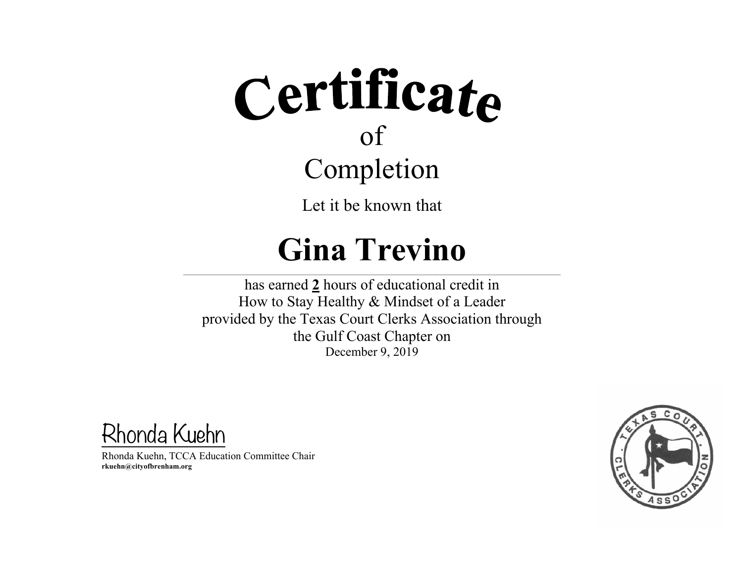Let it be known that

### **Gina Trevino**

 $\mathcal{L} = \{ \mathcal{L} = \{ \mathcal{L} = \{ \mathcal{L} = \{ \mathcal{L} = \{ \mathcal{L} = \{ \mathcal{L} = \{ \mathcal{L} = \{ \mathcal{L} = \{ \mathcal{L} = \{ \mathcal{L} = \{ \mathcal{L} = \{ \mathcal{L} = \{ \mathcal{L} = \{ \mathcal{L} = \{ \mathcal{L} = \{ \mathcal{L} = \{ \mathcal{L} = \{ \mathcal{L} = \{ \mathcal{L} = \{ \mathcal{L} = \{ \mathcal{L} = \{ \mathcal{L} = \{ \mathcal{L} = \{ \mathcal{$ 

has earned **2** hours of educational credit in How to Stay Healthy & Mindset of a Leader provided by the Texas Court Clerks Association through the Gulf Coast Chapter on December 9, 2019

Rhonda Kuehn

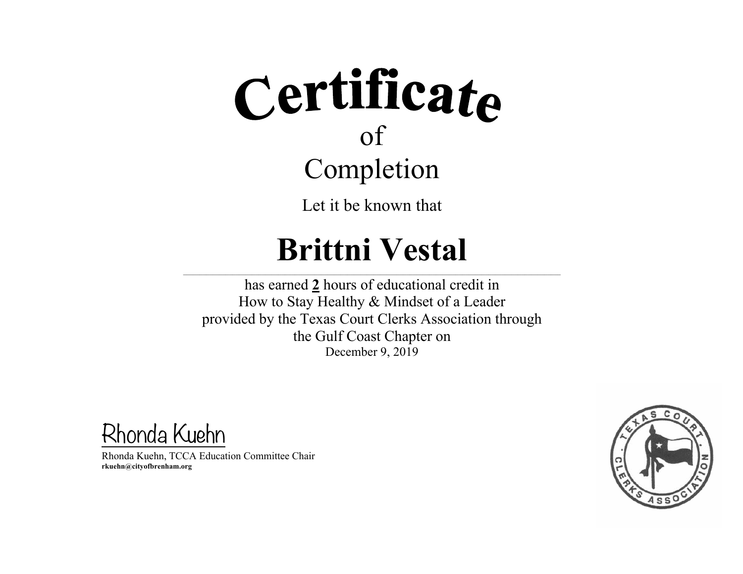Let it be known that

### **Brittni Vestal**

 $\mathcal{L} = \{ \mathcal{L} = \{ \mathcal{L} = \{ \mathcal{L} = \{ \mathcal{L} = \{ \mathcal{L} = \{ \mathcal{L} = \{ \mathcal{L} = \{ \mathcal{L} = \{ \mathcal{L} = \{ \mathcal{L} = \{ \mathcal{L} = \{ \mathcal{L} = \{ \mathcal{L} = \{ \mathcal{L} = \{ \mathcal{L} = \{ \mathcal{L} = \{ \mathcal{L} = \{ \mathcal{L} = \{ \mathcal{L} = \{ \mathcal{L} = \{ \mathcal{L} = \{ \mathcal{L} = \{ \mathcal{L} = \{ \mathcal{$ 

has earned **2** hours of educational credit in How to Stay Healthy & Mindset of a Leader provided by the Texas Court Clerks Association through the Gulf Coast Chapter on December 9, 2019

Rhonda Kuehn

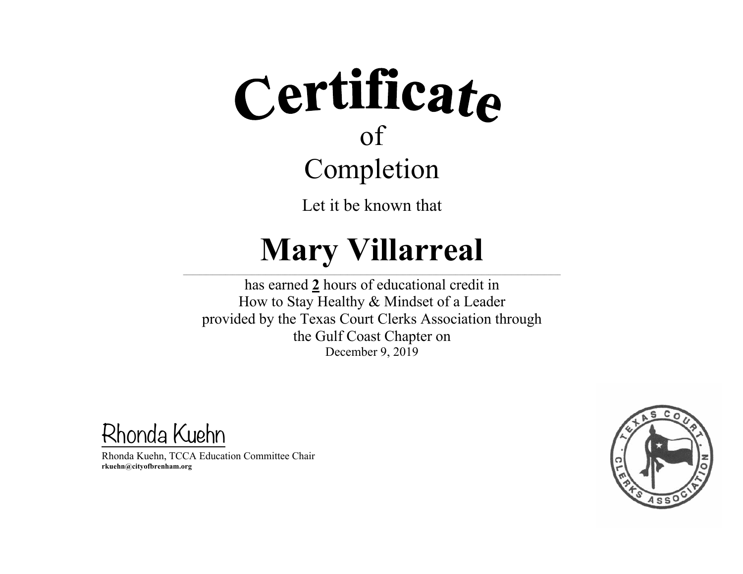Let it be known that

### **Mary Villarreal**

 $\mathcal{L} = \{ \mathcal{L} = \{ \mathcal{L} = \{ \mathcal{L} = \{ \mathcal{L} = \{ \mathcal{L} = \{ \mathcal{L} = \{ \mathcal{L} = \{ \mathcal{L} = \{ \mathcal{L} = \{ \mathcal{L} = \{ \mathcal{L} = \{ \mathcal{L} = \{ \mathcal{L} = \{ \mathcal{L} = \{ \mathcal{L} = \{ \mathcal{L} = \{ \mathcal{L} = \{ \mathcal{L} = \{ \mathcal{L} = \{ \mathcal{L} = \{ \mathcal{L} = \{ \mathcal{L} = \{ \mathcal{L} = \{ \mathcal{$ 

has earned **2** hours of educational credit in How to Stay Healthy & Mindset of a Leader provided by the Texas Court Clerks Association through the Gulf Coast Chapter on December 9, 2019

Rhonda Kuehn

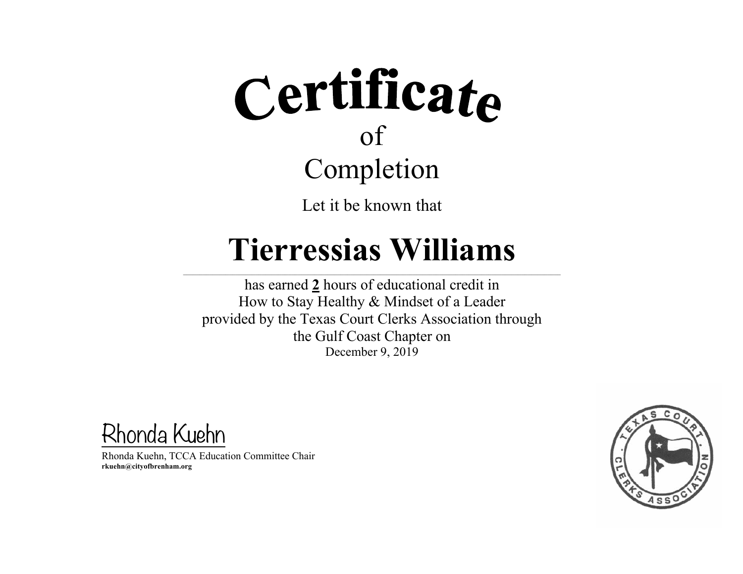

Let it be known that

#### **Tierressias Williams**

 $\mathcal{L} = \{ \mathcal{L} = \{ \mathcal{L} = \{ \mathcal{L} = \{ \mathcal{L} = \{ \mathcal{L} = \{ \mathcal{L} = \{ \mathcal{L} = \{ \mathcal{L} = \{ \mathcal{L} = \{ \mathcal{L} = \{ \mathcal{L} = \{ \mathcal{L} = \{ \mathcal{L} = \{ \mathcal{L} = \{ \mathcal{L} = \{ \mathcal{L} = \{ \mathcal{L} = \{ \mathcal{L} = \{ \mathcal{L} = \{ \mathcal{L} = \{ \mathcal{L} = \{ \mathcal{L} = \{ \mathcal{L} = \{ \mathcal{$ 

has earned **2** hours of educational credit in How to Stay Healthy & Mindset of a Leader provided by the Texas Court Clerks Association through the Gulf Coast Chapter on December 9, 2019

Rhonda Kuehn